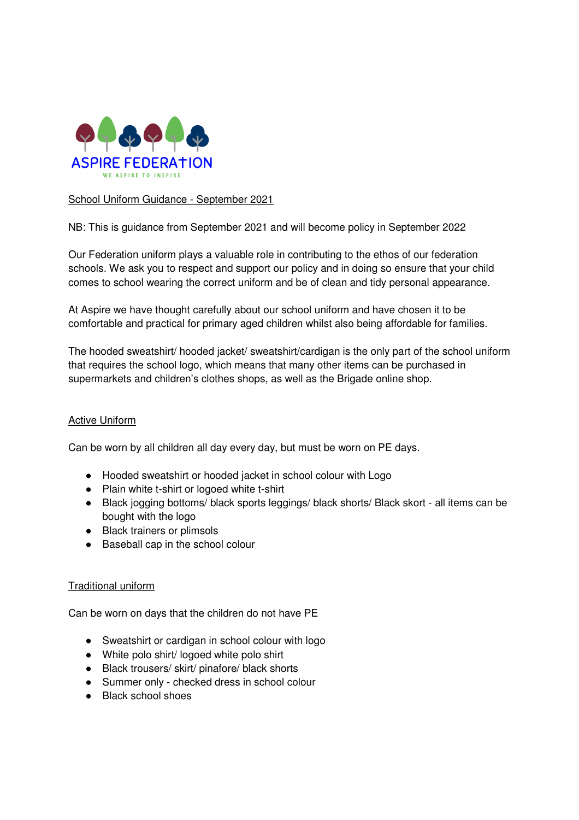

## School Uniform Guidance - September 2021

NB: This is guidance from September 2021 and will become policy in September 2022

Our Federation uniform plays a valuable role in contributing to the ethos of our federation schools. We ask you to respect and support our policy and in doing so ensure that your child comes to school wearing the correct uniform and be of clean and tidy personal appearance.

At Aspire we have thought carefully about our school uniform and have chosen it to be comfortable and practical for primary aged children whilst also being affordable for families.

The hooded sweatshirt/ hooded jacket/ sweatshirt/cardigan is the only part of the school uniform that requires the school logo, which means that many other items can be purchased in supermarkets and children's clothes shops, as well as the Brigade online shop.

## Active Uniform

Can be worn by all children all day every day, but must be worn on PE days.

- Hooded sweatshirt or hooded jacket in school colour with Logo
- Plain white t-shirt or logoed white t-shirt
- Black jogging bottoms/ black sports leggings/ black shorts/ Black skort all items can be bought with the logo
- Black trainers or plimsols
- Baseball cap in the school colour

## Traditional uniform

Can be worn on days that the children do not have PE

- Sweatshirt or cardigan in school colour with logo
- White polo shirt/ logoed white polo shirt
- Black trousers/ skirt/ pinafore/ black shorts
- Summer only checked dress in school colour
- Black school shoes